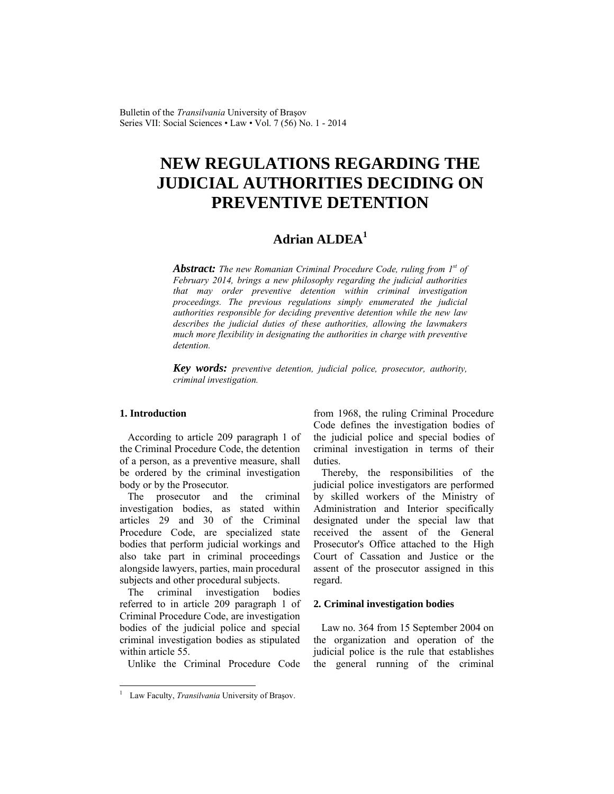Bulletin of the *Transilvania* University of Braşov Series VII: Social Sciences • Law • Vol. 7 (56) No. 1 - 2014

# **NEW REGULATIONS REGARDING THE JUDICIAL AUTHORITIES DECIDING ON PREVENTIVE DETENTION**

# **Adrian ALDEA<sup>1</sup>**

*Abstract: The new Romanian Criminal Procedure Code, ruling from 1st of February 2014, brings a new philosophy regarding the judicial authorities that may order preventive detention within criminal investigation proceedings. The previous regulations simply enumerated the judicial authorities responsible for deciding preventive detention while the new law describes the judicial duties of these authorities, allowing the lawmakers much more flexibility in designating the authorities in charge with preventive detention.* 

*Key words: preventive detention, judicial police, prosecutor, authority, criminal investigation.* 

## **1. Introduction**

 $\overline{\phantom{a}}$ 

According to article 209 paragraph 1 of the Criminal Procedure Code, the detention of a person, as a preventive measure, shall be ordered by the criminal investigation body or by the Prosecutor.

The prosecutor and the criminal investigation bodies, as stated within articles 29 and 30 of the Criminal Procedure Code, are specialized state bodies that perform judicial workings and also take part in criminal proceedings alongside lawyers, parties, main procedural subjects and other procedural subjects.

The criminal investigation bodies referred to in article 209 paragraph 1 of Criminal Procedure Code, are investigation bodies of the judicial police and special criminal investigation bodies as stipulated within article 55.

Unlike the Criminal Procedure Code

from 1968, the ruling Criminal Procedure Code defines the investigation bodies of the judicial police and special bodies of criminal investigation in terms of their duties.

Thereby, the responsibilities of the judicial police investigators are performed by skilled workers of the Ministry of Administration and Interior specifically designated under the special law that received the assent of the General Prosecutor's Office attached to the High Court of Cassation and Justice or the assent of the prosecutor assigned in this regard.

#### **2. Criminal investigation bodies**

Law no. 364 from 15 September 2004 on the organization and operation of the judicial police is the rule that establishes the general running of the criminal

<sup>&</sup>lt;sup>1</sup> Law Faculty, *Transilvania* University of Brașov.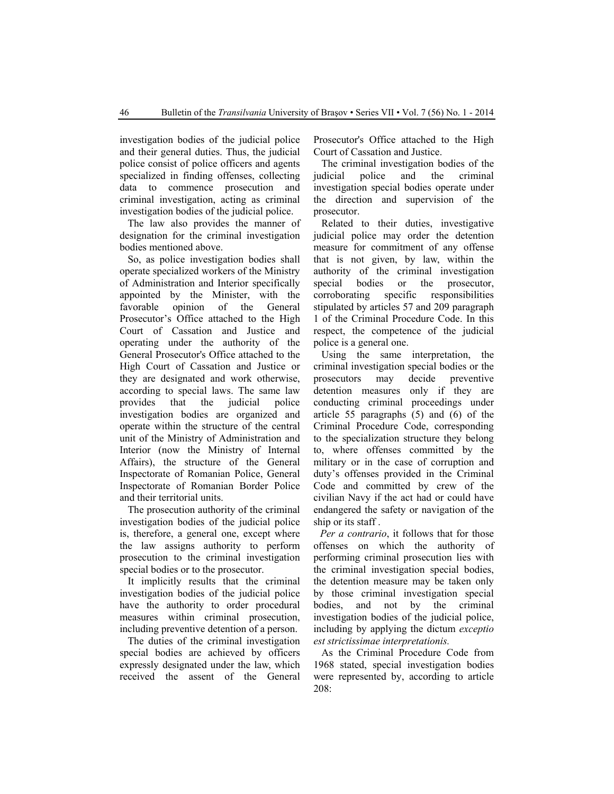investigation bodies of the judicial police and their general duties. Thus, the judicial police consist of police officers and agents specialized in finding offenses, collecting data to commence prosecution and criminal investigation, acting as criminal investigation bodies of the judicial police.

The law also provides the manner of designation for the criminal investigation bodies mentioned above.

So, as police investigation bodies shall operate specialized workers of the Ministry of Administration and Interior specifically appointed by the Minister, with the favorable opinion of the General Prosecutor's Office attached to the High Court of Cassation and Justice and operating under the authority of the General Prosecutor's Office attached to the High Court of Cassation and Justice or they are designated and work otherwise, according to special laws. The same law provides that the judicial police investigation bodies are organized and operate within the structure of the central unit of the Ministry of Administration and Interior (now the Ministry of Internal Affairs), the structure of the General Inspectorate of Romanian Police, General Inspectorate of Romanian Border Police and their territorial units.

The prosecution authority of the criminal investigation bodies of the judicial police is, therefore, a general one, except where the law assigns authority to perform prosecution to the criminal investigation special bodies or to the prosecutor.

It implicitly results that the criminal investigation bodies of the judicial police have the authority to order procedural measures within criminal prosecution, including preventive detention of a person.

 The duties of the criminal investigation special bodies are achieved by officers expressly designated under the law, which received the assent of the General Prosecutor's Office attached to the High Court of Cassation and Justice.

 The criminal investigation bodies of the judicial police and the criminal investigation special bodies operate under the direction and supervision of the prosecutor.

 Related to their duties, investigative judicial police may order the detention measure for commitment of any offense that is not given, by law, within the authority of the criminal investigation special bodies or the prosecutor, corroborating specific responsibilities stipulated by articles 57 and 209 paragraph 1 of the Criminal Procedure Code. In this respect, the competence of the judicial police is a general one.

 Using the same interpretation, the criminal investigation special bodies or the prosecutors may decide preventive detention measures only if they are conducting criminal proceedings under article 55 paragraphs (5) and (6) of the Criminal Procedure Code, corresponding to the specialization structure they belong to, where offenses committed by the military or in the case of corruption and duty's offenses provided in the Criminal Code and committed by crew of the civilian Navy if the act had or could have endangered the safety or navigation of the ship or its staff .

*Per a contrario*, it follows that for those offenses on which the authority of performing criminal prosecution lies with the criminal investigation special bodies, the detention measure may be taken only by those criminal investigation special bodies, and not by the criminal investigation bodies of the judicial police, including by applying the dictum *exceptio est strictissimae interpretationis.* 

 As the Criminal Procedure Code from 1968 stated, special investigation bodies were represented by, according to article 208: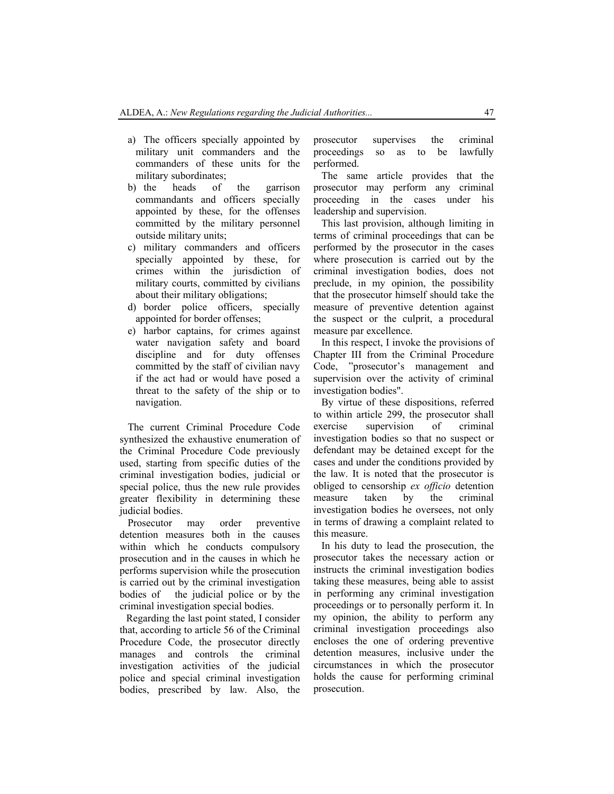- a) The officers specially appointed by military unit commanders and the commanders of these units for the military subordinates;
- b) the heads of the garrison commandants and officers specially appointed by these, for the offenses committed by the military personnel outside military units;
- c) military commanders and officers specially appointed by these, for crimes within the jurisdiction of military courts, committed by civilians about their military obligations;
- d) border police officers, specially appointed for border offenses;
- e) harbor captains, for crimes against water navigation safety and board discipline and for duty offenses committed by the staff of civilian navy if the act had or would have posed a threat to the safety of the ship or to navigation.

The current Criminal Procedure Code synthesized the exhaustive enumeration of the Criminal Procedure Code previously used, starting from specific duties of the criminal investigation bodies, judicial or special police, thus the new rule provides greater flexibility in determining these judicial bodies.

Prosecutor may order preventive detention measures both in the causes within which he conducts compulsory prosecution and in the causes in which he performs supervision while the prosecution is carried out by the criminal investigation bodies of the judicial police or by the criminal investigation special bodies.

Regarding the last point stated, I consider that, according to article 56 of the Criminal Procedure Code, the prosecutor directly manages and controls the criminal investigation activities of the judicial police and special criminal investigation bodies, prescribed by law. Also, the

prosecutor supervises the criminal proceedings so as to be lawfully performed.

The same article provides that the prosecutor may perform any criminal proceeding in the cases under his leadership and supervision.

This last provision, although limiting in terms of criminal proceedings that can be performed by the prosecutor in the cases where prosecution is carried out by the criminal investigation bodies, does not preclude, in my opinion, the possibility that the prosecutor himself should take the measure of preventive detention against the suspect or the culprit, a procedural measure par excellence.

In this respect, I invoke the provisions of Chapter III from the Criminal Procedure Code, "prosecutor's management and supervision over the activity of criminal investigation bodies".

By virtue of these dispositions, referred to within article 299, the prosecutor shall exercise supervision of criminal investigation bodies so that no suspect or defendant may be detained except for the cases and under the conditions provided by the law. It is noted that the prosecutor is obliged to censorship *ex officio* detention measure taken by the criminal investigation bodies he oversees, not only in terms of drawing a complaint related to this measure.

In his duty to lead the prosecution, the prosecutor takes the necessary action or instructs the criminal investigation bodies taking these measures, being able to assist in performing any criminal investigation proceedings or to personally perform it. In my opinion, the ability to perform any criminal investigation proceedings also encloses the one of ordering preventive detention measures, inclusive under the circumstances in which the prosecutor holds the cause for performing criminal prosecution.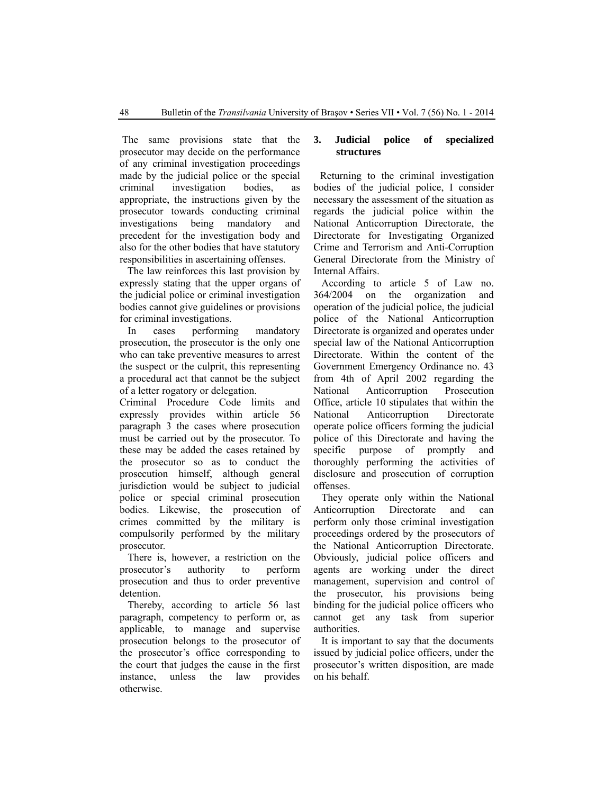The same provisions state that the prosecutor may decide on the performance of any criminal investigation proceedings made by the judicial police or the special criminal investigation bodies, as appropriate, the instructions given by the prosecutor towards conducting criminal investigations being mandatory and precedent for the investigation body and also for the other bodies that have statutory responsibilities in ascertaining offenses.

 The law reinforces this last provision by expressly stating that the upper organs of the judicial police or criminal investigation bodies cannot give guidelines or provisions for criminal investigations.

 In cases performing mandatory prosecution, the prosecutor is the only one who can take preventive measures to arrest the suspect or the culprit, this representing a procedural act that cannot be the subject of a letter rogatory or delegation.

Criminal Procedure Code limits and expressly provides within article 56 paragraph 3 the cases where prosecution must be carried out by the prosecutor. To these may be added the cases retained by the prosecutor so as to conduct the prosecution himself, although general jurisdiction would be subject to judicial police or special criminal prosecution bodies. Likewise, the prosecution of crimes committed by the military is compulsorily performed by the military prosecutor.

There is, however, a restriction on the prosecutor's authority to perform prosecution and thus to order preventive detention.

Thereby, according to article 56 last paragraph, competency to perform or, as applicable, to manage and supervise prosecution belongs to the prosecutor of the prosecutor's office corresponding to the court that judges the cause in the first instance, unless the law provides otherwise.

### **3. Judicial police of specialized structures**

Returning to the criminal investigation bodies of the judicial police, I consider necessary the assessment of the situation as regards the judicial police within the National Anticorruption Directorate, the Directorate for Investigating Organized Crime and Terrorism and Anti-Corruption General Directorate from the Ministry of Internal Affairs.

According to article 5 of Law no. 364/2004 on the organization and operation of the judicial police, the judicial police of the National Anticorruption Directorate is organized and operates under special law of the National Anticorruption Directorate. Within the content of the Government Emergency Ordinance no. 43 from 4th of April 2002 regarding the National Anticorruption Prosecution Office, article 10 stipulates that within the National Anticorruption Directorate operate police officers forming the judicial police of this Directorate and having the specific purpose of promptly and thoroughly performing the activities of disclosure and prosecution of corruption offenses.

They operate only within the National Anticorruption Directorate and can perform only those criminal investigation proceedings ordered by the prosecutors of the National Anticorruption Directorate. Obviously, judicial police officers and agents are working under the direct management, supervision and control of the prosecutor, his provisions being binding for the judicial police officers who cannot get any task from superior authorities.

 It is important to say that the documents issued by judicial police officers, under the prosecutor's written disposition, are made on his behalf.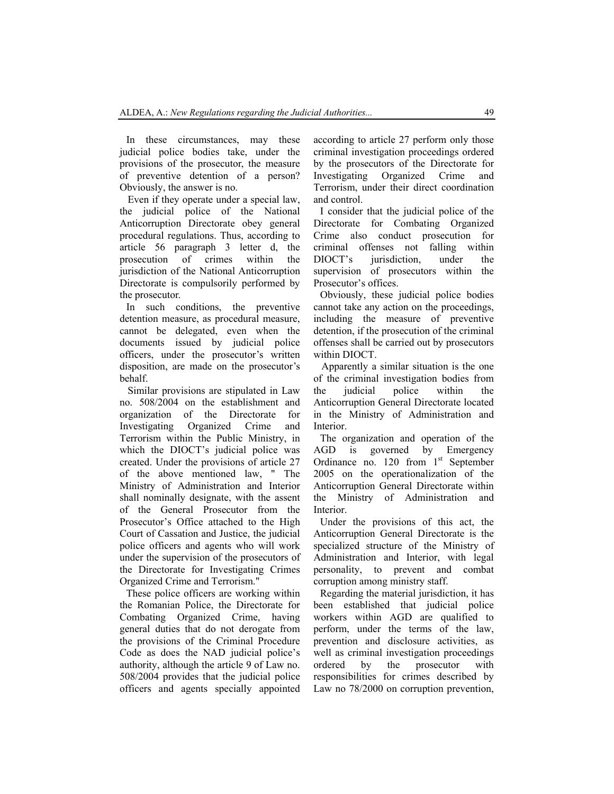In these circumstances, may these judicial police bodies take, under the provisions of the prosecutor, the measure of preventive detention of a person? Obviously, the answer is no.

 Even if they operate under a special law, the judicial police of the National Anticorruption Directorate obey general procedural regulations. Thus, according to article 56 paragraph 3 letter d, the prosecution of crimes within the jurisdiction of the National Anticorruption Directorate is compulsorily performed by the prosecutor.

In such conditions, the preventive detention measure, as procedural measure, cannot be delegated, even when the documents issued by judicial police officers, under the prosecutor's written disposition, are made on the prosecutor's behalf.

 Similar provisions are stipulated in Law no. 508/2004 on the establishment and organization of the Directorate for Investigating Organized Crime and Terrorism within the Public Ministry, in which the DIOCT's judicial police was created. Under the provisions of article 27 of the above mentioned law, " The Ministry of Administration and Interior shall nominally designate, with the assent of the General Prosecutor from the Prosecutor's Office attached to the High Court of Cassation and Justice, the judicial police officers and agents who will work under the supervision of the prosecutors of the Directorate for Investigating Crimes Organized Crime and Terrorism."

These police officers are working within the Romanian Police, the Directorate for Combating Organized Crime, having general duties that do not derogate from the provisions of the Criminal Procedure Code as does the NAD judicial police's authority, although the article 9 of Law no. 508/2004 provides that the judicial police officers and agents specially appointed according to article 27 perform only those criminal investigation proceedings ordered by the prosecutors of the Directorate for Investigating Organized Crime and Terrorism, under their direct coordination and control.

I consider that the judicial police of the Directorate for Combating Organized Crime also conduct prosecution for criminal offenses not falling within DIOCT's jurisdiction, under the supervision of prosecutors within the Prosecutor's offices.

Obviously, these judicial police bodies cannot take any action on the proceedings, including the measure of preventive detention, if the prosecution of the criminal offenses shall be carried out by prosecutors within DIOCT.

 Apparently a similar situation is the one of the criminal investigation bodies from the judicial police within the Anticorruption General Directorate located in the Ministry of Administration and Interior.

The organization and operation of the AGD is governed by Emergency Ordinance no.  $120$  from  $1<sup>st</sup>$  September 2005 on the operationalization of the Anticorruption General Directorate within the Ministry of Administration and Interior.

Under the provisions of this act, the Anticorruption General Directorate is the specialized structure of the Ministry of Administration and Interior, with legal personality, to prevent and combat corruption among ministry staff.

Regarding the material jurisdiction, it has been established that judicial police workers within AGD are qualified to perform, under the terms of the law, prevention and disclosure activities, as well as criminal investigation proceedings ordered by the prosecutor with responsibilities for crimes described by Law no 78/2000 on corruption prevention,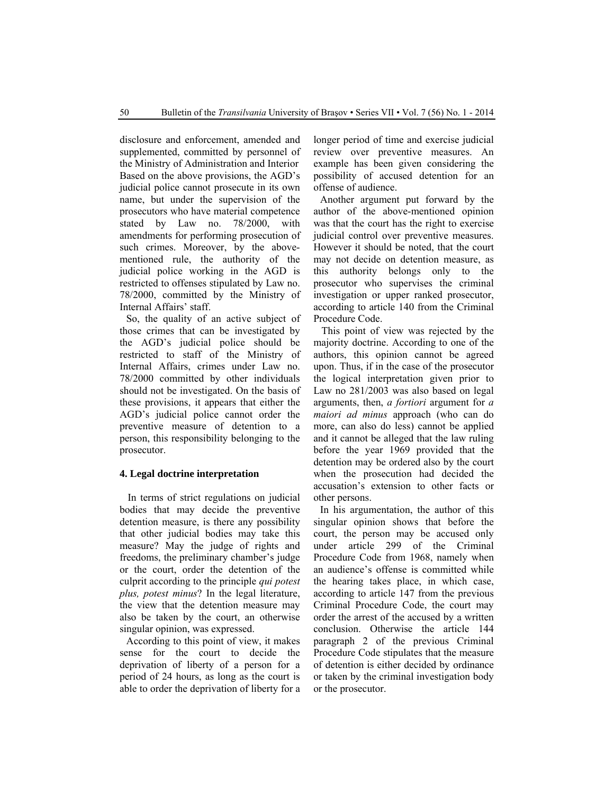disclosure and enforcement, amended and supplemented, committed by personnel of the Ministry of Administration and Interior Based on the above provisions, the AGD's judicial police cannot prosecute in its own name, but under the supervision of the prosecutors who have material competence stated by Law no. 78/2000, with amendments for performing prosecution of such crimes. Moreover, by the abovementioned rule, the authority of the judicial police working in the AGD is restricted to offenses stipulated by Law no. 78/2000, committed by the Ministry of Internal Affairs' staff.

So, the quality of an active subject of those crimes that can be investigated by the AGD's judicial police should be restricted to staff of the Ministry of Internal Affairs, crimes under Law no. 78/2000 committed by other individuals should not be investigated. On the basis of these provisions, it appears that either the AGD's judicial police cannot order the preventive measure of detention to a person, this responsibility belonging to the prosecutor.

## **4. Legal doctrine interpretation**

 In terms of strict regulations on judicial bodies that may decide the preventive detention measure, is there any possibility that other judicial bodies may take this measure? May the judge of rights and freedoms, the preliminary chamber's judge or the court, order the detention of the culprit according to the principle *qui potest plus, potest minus*? In the legal literature, the view that the detention measure may also be taken by the court, an otherwise singular opinion, was expressed.

According to this point of view, it makes sense for the court to decide the deprivation of liberty of a person for a period of 24 hours, as long as the court is able to order the deprivation of liberty for a longer period of time and exercise judicial review over preventive measures. An example has been given considering the possibility of accused detention for an offense of audience.

Another argument put forward by the author of the above-mentioned opinion was that the court has the right to exercise judicial control over preventive measures. However it should be noted, that the court may not decide on detention measure, as this authority belongs only to the prosecutor who supervises the criminal investigation or upper ranked prosecutor, according to article 140 from the Criminal Procedure Code.

 This point of view was rejected by the majority doctrine. According to one of the authors, this opinion cannot be agreed upon. Thus, if in the case of the prosecutor the logical interpretation given prior to Law no 281/2003 was also based on legal arguments, then, *a fortiori* argument for *a maiori ad minus* approach (who can do more, can also do less) cannot be applied and it cannot be alleged that the law ruling before the year 1969 provided that the detention may be ordered also by the court when the prosecution had decided the accusation's extension to other facts or other persons.

In his argumentation, the author of this singular opinion shows that before the court, the person may be accused only under article 299 of the Criminal Procedure Code from 1968, namely when an audience's offense is committed while the hearing takes place, in which case, according to article 147 from the previous Criminal Procedure Code, the court may order the arrest of the accused by a written conclusion. Otherwise the article 144 paragraph 2 of the previous Criminal Procedure Code stipulates that the measure of detention is either decided by ordinance or taken by the criminal investigation body or the prosecutor.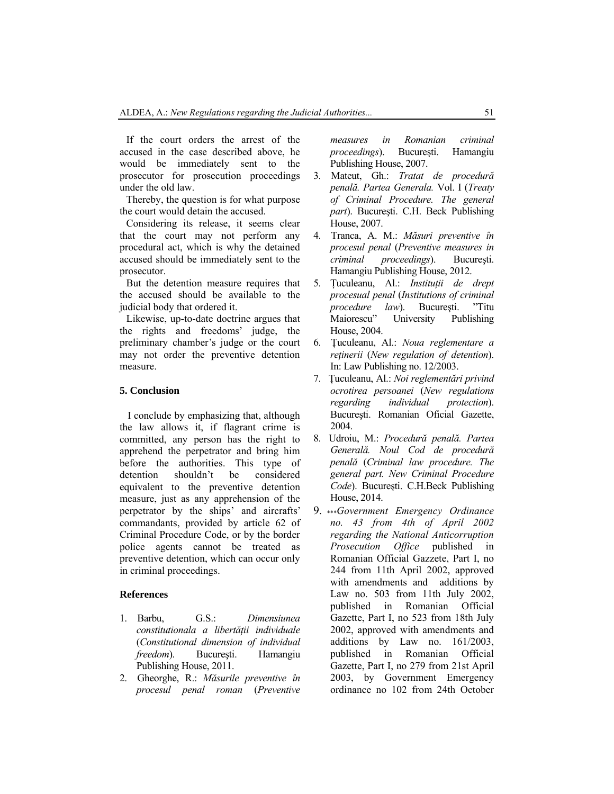If the court orders the arrest of the accused in the case described above, he would be immediately sent to the prosecutor for prosecution proceedings under the old law.

Thereby, the question is for what purpose the court would detain the accused.

Considering its release, it seems clear that the court may not perform any procedural act, which is why the detained accused should be immediately sent to the prosecutor.

But the detention measure requires that the accused should be available to the judicial body that ordered it.

Likewise, up-to-date doctrine argues that the rights and freedoms' judge, the preliminary chamber's judge or the court may not order the preventive detention measure.

#### **5. Conclusion**

I conclude by emphasizing that, although the law allows it, if flagrant crime is committed, any person has the right to apprehend the perpetrator and bring him before the authorities. This type of<br>detention shouldn't be considered detention shouldn't be considered equivalent to the preventive detention measure, just as any apprehension of the perpetrator by the ships' and aircrafts' commandants, provided by article 62 of Criminal Procedure Code, or by the border police agents cannot be treated as preventive detention, which can occur only in criminal proceedings.

#### **References**

- 1. Barbu, G.S.: *Dimensiunea constitutionala a libertăţii individuale* (*Constitutional dimension of individual freedom*). Bucureşti. Hamangiu Publishing House, 2011.
- 2. Gheorghe, R.: *Măsurile preventive în procesul penal roman* (*Preventive*

*measures in Romanian criminal proceedings*). Bucureşti. Hamangiu Publishing House, 2007.

- 3. Mateut, Gh.: *Tratat de procedură penală. Partea Generala.* Vol. I (*Treaty of Criminal Procedure. The general part*). Bucureşti. C.H. Beck Publishing House, 2007.
- 4. Tranca, A. M.: *Măsuri preventive în procesul penal* (*Preventive measures in criminal proceedings*). Bucureşti. Hamangiu Publishing House, 2012.
- 5. Ţuculeanu, Al.: *Instituţii de drept procesual penal* (*Institutions of criminal procedure law*). Bucuresti. "Titu Maiorescu" University Publishing House, 2004.
- 6. Ţuculeanu, Al.: *Noua reglementare a reţinerii* (*New regulation of detention*). In: Law Publishing no. 12/2003.
- 7. Ţuculeanu, Al.: *Noi reglementări privind ocrotirea persoanei* (*New regulations regarding individual protection*). Bucureşti. Romanian Oficial Gazette, 2004.
- 8. Udroiu, M.: *Procedură penală. Partea Generală. Noul Cod de procedură penală* (*Criminal law procedure. The general part. New Criminal Procedure Code*). Bucureşti. C.H.Beck Publishing House, 2014.
- 9. \*\*\**Government Emergency Ordinance no. 43 from 4th of April 2002 regarding the National Anticorruption Prosecution Office* published in Romanian Official Gazzete, Part I, no 244 from 11th April 2002, approved with amendments and additions by Law no. 503 from 11th July 2002, published in Romanian Official Gazette, Part I, no 523 from 18th July 2002, approved with amendments and additions by Law no. 161/2003, published in Romanian Official Gazette, Part I, no 279 from 21st April 2003, by Government Emergency ordinance no 102 from 24th October